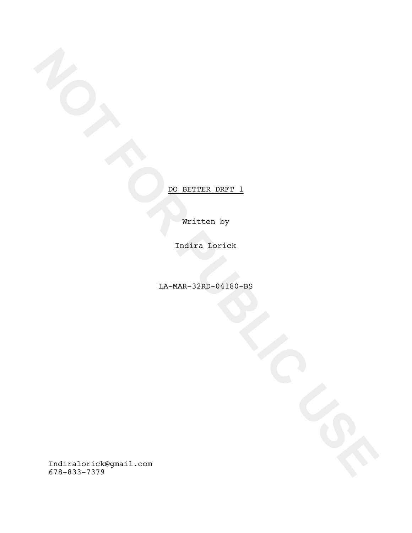Written by

Indira Lorick

LA-MAR-32RD-04180-BS

**NOTE:**<br>
RAMAR-32RD-94180-BS<br>
RAMAR-32RD-94180-BS<br>
RAMAR-32RD-94180-BS<br>
RAMAR-32RD-94180-BS<br>
RAMAR-32RD-94180-BS<br>
RAMAR-32RD-94180-BS<br>
RAMAR-32RD-94180-BS<br>
RAMAR-32RD-94180-BS Indiralorick@gmail.com 678-833-7379